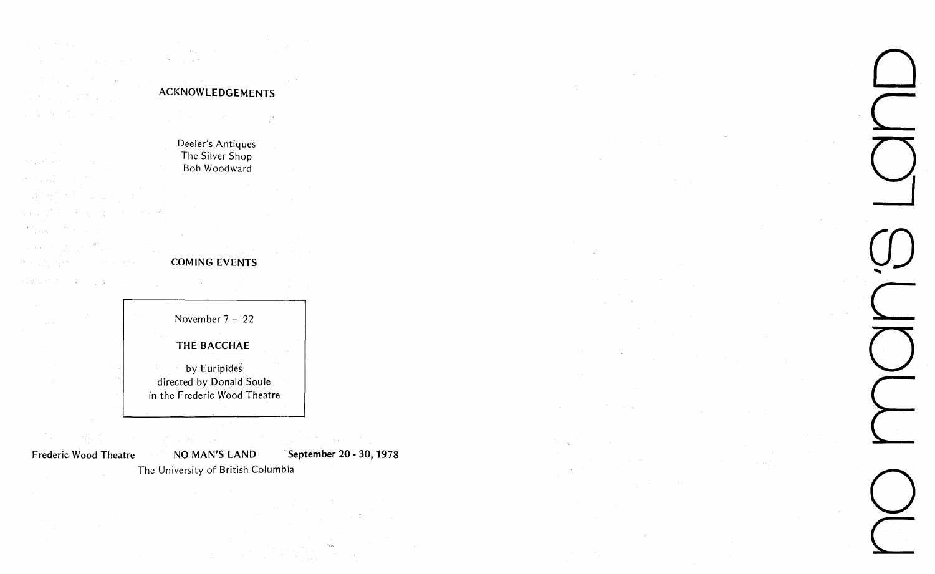$\mathcal{P}_n(\tilde{U}_{\mathcal{A}_n})$  ,  $\mathcal{P}_n(\tilde{U}_n,\tilde{u})^*$ e sa Wil  $\label{eq:1} \frac{1}{2} \left( \frac{1}{2} \left( \frac{1}{2} \right) \right) \left( \frac{1}{2} \right) = \frac{1}{2} \left( \frac{1}{2} \right)$ القالبان  $\label{eq:Ricci} \begin{array}{c} \mathcal{L}^{(1)}(0) = \frac{1}{2} \left( \frac{1}{2} \sum_{i=1}^{n} \frac{1}{2} \sum_{j=1}^{n} \frac{1}{2} \sum_{j=1}^{n} \frac{1}{2} \sum_{j=1}^{n} \frac{1}{2} \sum_{j=1}^{n} \frac{1}{2} \sum_{j=1}^{n} \frac{1}{2} \sum_{j=1}^{n} \frac{1}{2} \sum_{j=1}^{n} \frac{1}{2} \sum_{j=1}^{n} \frac{1}{2} \sum_{j=1}^{n} \frac{1}{2} \sum_{$ 

**アルバトーマ** 

8. 1. 1. 1. 1. 1. 1. 1. 1.

冷却が データル  $\sim 10^{-11}$ 

 $\mathcal{L}(\mathcal{O}_{\mathcal{A}})$ 

## **ACKNOWLEDGEMENTS**

State St

 $\alpha$  and  $\alpha$  and  $\alpha$ 

Deeler's Antiques The Silver Shop Bob Woodward

## **COMING EVENTS**

 $\sim 10^7$ 

November 7 — 22 **THE BACCHAE**  by Euripides directed by Donald Soule in the Frederic Wood Theatre

inter (19

Frederic Wood Theatre NO MAN'S LAND September 20 - 30, 1978

 $\sim 10^{-5}$ 

**Q**   $\bigcirc$ 

NO MAN'S LAND September 20 - 30, 1978<br>The University of British Columbia **of Alliance Columbia** and the University of British Columbia and the University of British Columbia and the University of British Columbia and the U